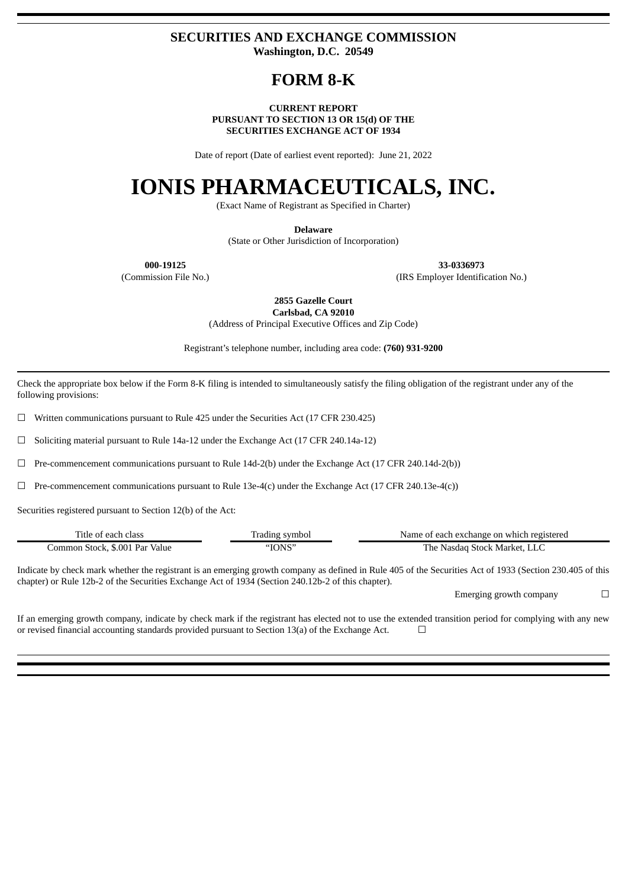### **SECURITIES AND EXCHANGE COMMISSION Washington, D.C. 20549**

## **FORM 8-K**

#### **CURRENT REPORT PURSUANT TO SECTION 13 OR 15(d) OF THE SECURITIES EXCHANGE ACT OF 1934**

Date of report (Date of earliest event reported): June 21, 2022

# **IONIS PHARMACEUTICALS, INC.**

(Exact Name of Registrant as Specified in Charter)

**Delaware**

(State or Other Jurisdiction of Incorporation)

**000-19125 33-0336973**

(Commission File No.) (IRS Employer Identification No.)

**2855 Gazelle Court Carlsbad, CA 92010**

(Address of Principal Executive Offices and Zip Code)

Registrant's telephone number, including area code: **(760) 931-9200**

Check the appropriate box below if the Form 8-K filing is intended to simultaneously satisfy the filing obligation of the registrant under any of the following provisions:

☐ Written communications pursuant to Rule 425 under the Securities Act (17 CFR 230.425)

 $\Box$  Soliciting material pursuant to Rule 14a-12 under the Exchange Act (17 CFR 240.14a-12)

 $\Box$  Pre-commencement communications pursuant to Rule 14d-2(b) under the Exchange Act (17 CFR 240.14d-2(b))

 $\Box$  Pre-commencement communications pursuant to Rule 13e-4(c) under the Exchange Act (17 CFR 240.13e-4(c))

Securities registered pursuant to Section 12(b) of the Act:

| Title of each class            | Trading symbol | Name of each exchange on which registered |
|--------------------------------|----------------|-------------------------------------------|
| Common Stock, \$.001 Par Value | "IONS"         | The Nasdag Stock Market, LLC              |

Indicate by check mark whether the registrant is an emerging growth company as defined in Rule 405 of the Securities Act of 1933 (Section 230.405 of this chapter) or Rule 12b-2 of the Securities Exchange Act of 1934 (Section 240.12b-2 of this chapter).

Emerging growth company  $\Box$ 

If an emerging growth company, indicate by check mark if the registrant has elected not to use the extended transition period for complying with any new or revised financial accounting standards provided pursuant to Section 13(a) of the Exchange Act.  $\Box$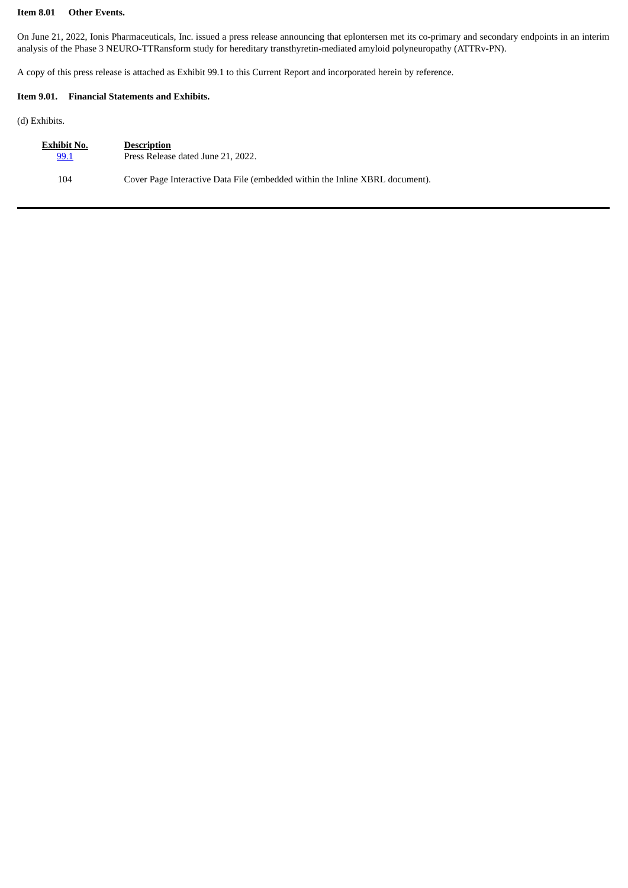#### **Item 8.01 Other Events.**

On June 21, 2022, Ionis Pharmaceuticals, Inc. issued a press release announcing that eplontersen met its co-primary and secondary endpoints in an interim analysis of the Phase 3 NEURO-TTRansform study for hereditary transthyretin-mediated amyloid polyneuropathy (ATTRv-PN).

A copy of this press release is attached as Exhibit 99.1 to this Current Report and incorporated herein by reference.

#### **Item 9.01. Financial Statements and Exhibits.**

(d) Exhibits.

| Exhibit No. | <b>Description</b>                                                           |
|-------------|------------------------------------------------------------------------------|
| 99.1        | Press Release dated June 21, 2022.                                           |
| 104         | Cover Page Interactive Data File (embedded within the Inline XBRL document). |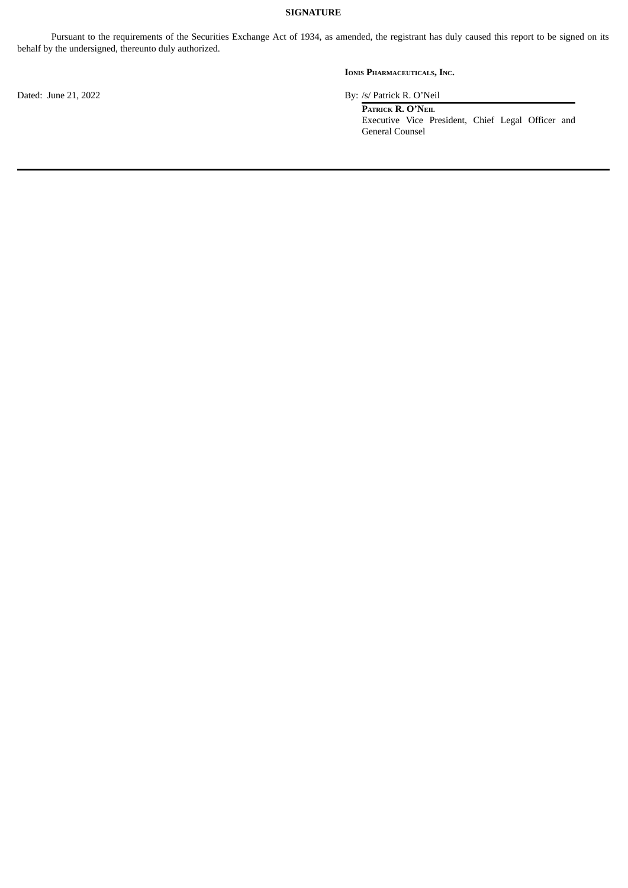#### **SIGNATURE**

Pursuant to the requirements of the Securities Exchange Act of 1934, as amended, the registrant has duly caused this report to be signed on its behalf by the undersigned, thereunto duly authorized.

**IONIS PHARMACEUTICALS, INC.**

Dated: June 21, 2022 By: /s/ Patrick R. O'Neil

**PATRICK R. O'NEIL** Executive Vice President, Chief Legal Officer and General Counsel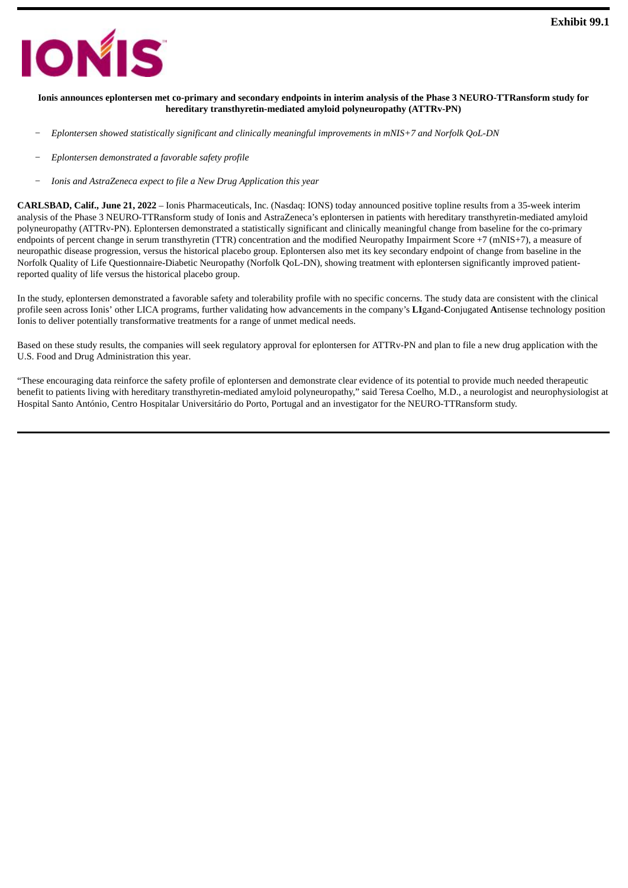<span id="page-3-0"></span>

#### Ionis announces eplontersen met co-primary and secondary endpoints in interim analysis of the Phase 3 NEURO-TTRansform study for **hereditary transthyretin-mediated amyloid polyneuropathy (ATTRv-PN)**

- *− Eplontersen showed statistically significant and clinically meaningful improvements in mNIS+7 and Norfolk QoL-DN*
- *− Eplontersen demonstrated a favorable safety profile*
- *− Ionis and AstraZeneca expect to file a New Drug Application this year*

**CARLSBAD, Calif., June 21, 2022** – Ionis Pharmaceuticals, Inc. (Nasdaq: IONS) today announced positive topline results from a 35-week interim analysis of the Phase 3 NEURO-TTRansform study of Ionis and AstraZeneca's eplontersen in patients with hereditary transthyretin-mediated amyloid polyneuropathy (ATTRv-PN). Eplontersen demonstrated a statistically significant and clinically meaningful change from baseline for the co-primary endpoints of percent change in serum transthyretin (TTR) concentration and the modified Neuropathy Impairment Score +7 (mNIS+7), a measure of neuropathic disease progression, versus the historical placebo group. Eplontersen also met its key secondary endpoint of change from baseline in the Norfolk Quality of Life Questionnaire-Diabetic Neuropathy (Norfolk QoL-DN), showing treatment with eplontersen significantly improved patientreported quality of life versus the historical placebo group.

In the study, eplontersen demonstrated a favorable safety and tolerability profile with no specific concerns. The study data are consistent with the clinical profile seen across Ionis' other LICA programs, further validating how advancements in the company's **LI**gand-**C**onjugated **A**ntisense technology position Ionis to deliver potentially transformative treatments for a range of unmet medical needs.

Based on these study results, the companies will seek regulatory approval for eplontersen for ATTRv-PN and plan to file a new drug application with the U.S. Food and Drug Administration this year.

"These encouraging data reinforce the safety profile of eplontersen and demonstrate clear evidence of its potential to provide much needed therapeutic benefit to patients living with hereditary transthyretin-mediated amyloid polyneuropathy," said Teresa Coelho, M.D., a neurologist and neurophysiologist at Hospital Santo António, Centro Hospitalar Universitário do Porto, Portugal and an investigator for the NEURO-TTRansform study.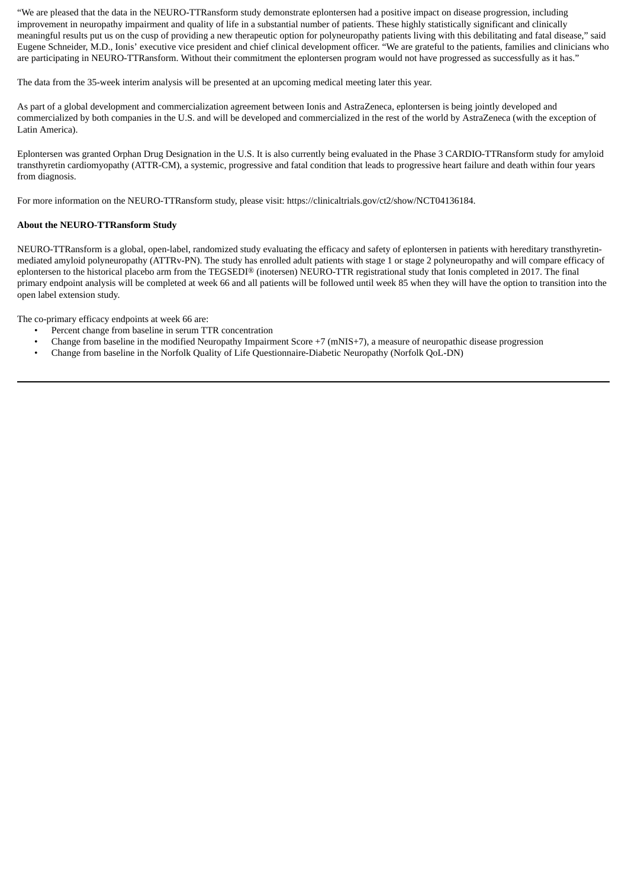"We are pleased that the data in the NEURO-TTRansform study demonstrate eplontersen had a positive impact on disease progression, including improvement in neuropathy impairment and quality of life in a substantial number of patients. These highly statistically significant and clinically meaningful results put us on the cusp of providing a new therapeutic option for polyneuropathy patients living with this debilitating and fatal disease," said Eugene Schneider, M.D., Ionis' executive vice president and chief clinical development officer. "We are grateful to the patients, families and clinicians who are participating in NEURO-TTRansform. Without their commitment the eplontersen program would not have progressed as successfully as it has."

The data from the 35-week interim analysis will be presented at an upcoming medical meeting later this year.

As part of a global development and commercialization agreement between Ionis and AstraZeneca, eplontersen is being jointly developed and commercialized by both companies in the U.S. and will be developed and commercialized in the rest of the world by AstraZeneca (with the exception of Latin America).

Eplontersen was granted Orphan Drug Designation in the U.S. It is also currently being evaluated in the Phase 3 CARDIO-TTRansform study for amyloid transthyretin cardiomyopathy (ATTR-CM), a systemic, progressive and fatal condition that leads to progressive heart failure and death within four years from diagnosis.

For more information on the NEURO-TTRansform study, please visit: https://clinicaltrials.gov/ct2/show/NCT04136184.

#### **About the NEURO-TTRansform Study**

NEURO-TTRansform is a global, open-label, randomized study evaluating the efficacy and safety of eplontersen in patients with hereditary transthyretinmediated amyloid polyneuropathy (ATTRv-PN). The study has enrolled adult patients with stage 1 or stage 2 polyneuropathy and will compare efficacy of eplontersen to the historical placebo arm from the TEGSEDI® (inotersen) NEURO-TTR registrational study that Ionis completed in 2017. The final primary endpoint analysis will be completed at week 66 and all patients will be followed until week 85 when they will have the option to transition into the open label extension study.

The co-primary efficacy endpoints at week 66 are:

- Percent change from baseline in serum TTR concentration
- Change from baseline in the modified Neuropathy Impairment Score +7 (mNIS+7), a measure of neuropathic disease progression
- Change from baseline in the Norfolk Quality of Life Questionnaire-Diabetic Neuropathy (Norfolk QoL-DN)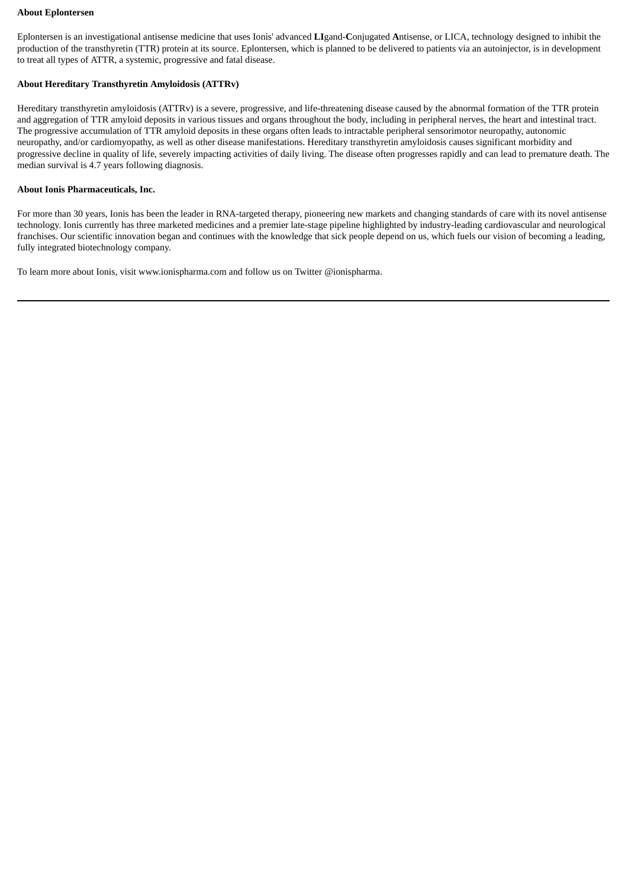#### **About Eplontersen**

Eplontersen is an investigational antisense medicine that uses Ionis' advanced **LI**gand-**C**onjugated **A**ntisense, or LICA, technology designed to inhibit the production of the transthyretin (TTR) protein at its source. Eplontersen, which is planned to be delivered to patients via an autoinjector, is in development to treat all types of ATTR, a systemic, progressive and fatal disease.

#### **About Hereditary Transthyretin Amyloidosis (ATTRv)**

Hereditary transthyretin amyloidosis (ATTRv) is a severe, progressive, and life-threatening disease caused by the abnormal formation of the TTR protein and aggregation of TTR amyloid deposits in various tissues and organs throughout the body, including in peripheral nerves, the heart and intestinal tract. The progressive accumulation of TTR amyloid deposits in these organs often leads to intractable peripheral sensorimotor neuropathy, autonomic neuropathy, and/or cardiomyopathy, as well as other disease manifestations. Hereditary transthyretin amyloidosis causes significant morbidity and progressive decline in quality of life, severely impacting activities of daily living. The disease often progresses rapidly and can lead to premature death. The median survival is 4.7 years following diagnosis.

#### **About Ionis Pharmaceuticals, Inc.**

For more than 30 years, Ionis has been the leader in RNA-targeted therapy, pioneering new markets and changing standards of care with its novel antisense technology. Ionis currently has three marketed medicines and a premier late-stage pipeline highlighted by industry-leading cardiovascular and neurological franchises. Our scientific innovation began and continues with the knowledge that sick people depend on us, which fuels our vision of becoming a leading, fully integrated biotechnology company.

To learn more about Ionis, visit www.ionispharma.com and follow us on Twitter @ionispharma.